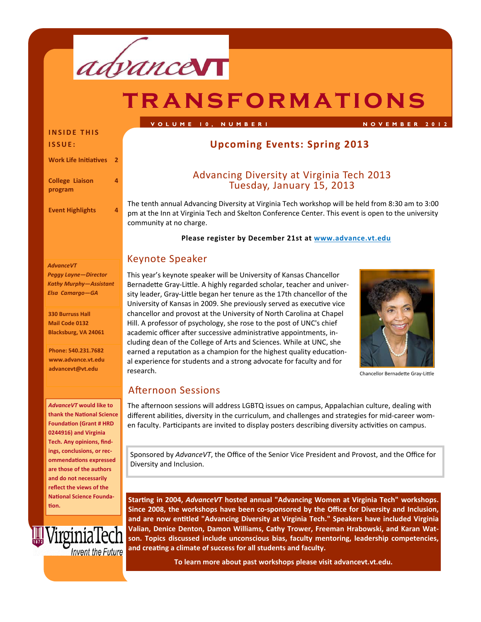

# **transformations**

#### **INSIDE THIS ISSUE:**

**Work Life IniƟaƟves 2**

**4**

**College Liaison program**

**Event Highlights 4**

#### *AdvanceVT*

*Peggy Layne—Director Kathy Murphy—Assistant Elsa Camargo—GA*

**330 Burruss Hall Mail Code 0132 Blacksburg, VA 24061**

**Phone: 540.231.7682 www.advance.vt.edu advancevt@vt.edu**

*AdvanceVT* **would like to thank the NaƟonal Science FoundaƟon (Grant # HRD 0244916) and Virginia Tech. Any opinions, find‐ ings, conclusions, or rec‐ ommendaƟons expressed are those of the authors and do not necessarily reflect the views of the NaƟonal Science Founda‐ Ɵon.** 



# **Upcoming Events: Spring 2013**

# Advancing Diversity at Virginia Tech <sup>2013</sup> Tuesday, January 15, <sup>2013</sup>

**VOLUME 10, NUMBER1 NOVEMBER 2012** 

The tenth annual Advancing Diversity at Virginia Tech workshop will be held from 8:30 am to 3:00 pm at the Inn at Virginia Tech and Skelton Conference Center. This event is open to the university community at no charge.

#### **Please register by December 21st at www.advance.vt.edu**

# Keynote Speaker

This year's keynote speaker will be University of Kansas Chancellor Bernadette Gray-Little. A highly regarded scholar, teacher and university leader, Gray-Little began her tenure as the 17th chancellor of the University of Kansas in 2009. She previously served as executive vice chancellor and provost at the University of North Carolina at Chapel Hill. A professor of psychology, she rose to the post of UNC's chief academic officer after successive administrative appointments, including dean of the College of Arts and Sciences. While at UNC, she earned a reputation as a champion for the highest quality educational experience for students and a strong advocate for faculty and for research.



Chancellor BernadeƩe Gray‐LiƩle

# Afternoon Sessions

The afternoon sessions will address LGBTQ issues on campus, Appalachian culture, dealing with different abilities, diversity in the curriculum, and challenges and strategies for mid-career women faculty. Participants are invited to display posters describing diversity activities on campus.

Sponsored by *AdvanceVT*, the Office of the Senior Vice President and Provost, and the Office for Diversity and Inclusion.

**StarƟng in 2004,** *AdvanceVT* **hosted annual "Advancing Women at Virginia Tech" workshops. Since 2008, the workshops have been co‐sponsored by the Office for Diversity and Inclusion, and are now enƟtled "Advancing Diversity at Virginia Tech." Speakers have included Virginia Valian, Denice Denton, Damon Williams, Cathy Trower, Freeman Hrabowski, and Karan Wat‐ son. Topics discussed include unconscious bias, faculty mentoring, leadership competencies, and creaƟng a climate of success for all students and faculty.** 

**To learn more about past workshops please visit advancevt.vt.edu.**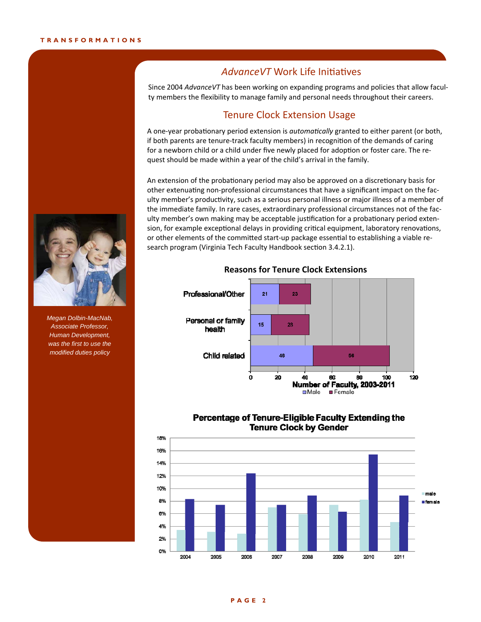# **AdvanceVT** Work Life Initiatives

Since 2004 *AdvanceVT* has been working on expanding programs and policies that allow faculty members the flexibility to manage family and personal needs throughout their careers.

### Tenure Clock Extension Usage

A one-year probationary period extension is *automatically* granted to either parent (or both, if both parents are tenure-track faculty members) in recognition of the demands of caring for a newborn child or a child under five newly placed for adoption or foster care. The request should be made within a year of the child's arrival in the family.

An extension of the probationary period may also be approved on a discretionary basis for other extenuating non-professional circumstances that have a significant impact on the faculty member's productivity, such as a serious personal illness or major illness of a member of the immediate family. In rare cases, extraordinary professional circumstances not of the fac‐ ulty member's own making may be acceptable justification for a probationary period extension, for example exceptional delays in providing critical equipment, laboratory renovations, or other elements of the committed start-up package essential to establishing a viable research program (Virginia Tech Faculty Handbook section 3.4.2.1).



#### **Reasons for Tenure Clock Extensions**







*Megan Dolbin-MacNab, Associate Professor, Human Development, was the first to use the modified duties policy*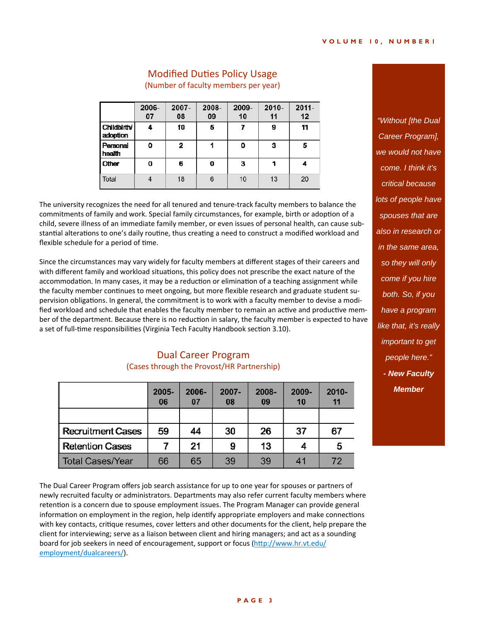| Dual Career Program                        |
|--------------------------------------------|
| (Cases through the Provost/HR Partnership) |
|                                            |

Г

|                          | 2005-<br>06 | 2006-<br>07 | $2007 -$<br>08 | 2008-<br>09 | $2009 -$<br>10 | $2010 -$<br>11 |
|--------------------------|-------------|-------------|----------------|-------------|----------------|----------------|
|                          |             |             |                |             |                |                |
| <b>Recruitment Cases</b> | 59          | 44          | 30             | 26          | 37             | 67             |
| Retention Cases          |             | 21          | 9              | 13          |                | 5              |
| <b>Total Cases/Year</b>  | 66          | 65          | 39             | 39          | 41             | 72             |

The Dual Career Program offers job search assistance for up to one year for spouses or partners of newly recruited faculty or administrators. Departments may also refer current faculty members where retention is a concern due to spouse employment issues. The Program Manager can provide general information on employment in the region, help identify appropriate employers and make connections with key contacts, critique resumes, cover letters and other documents for the client, help prepare the client for interviewing; serve as a liaison between client and hiring managers; and act as a sounding board for job seekers in need of encouragement, support or focus (http://www.hr.vt.edu/ employment/dualcareers/).

**Modified Duties Policy Usage** (Number of faculty members per year)

2006-2007-2008-2009-2010- $2011 -$ 07 08 09 10  $12$ 11 Childbirth/ 4 10 5  $\overline{I}$  $\overline{9}$ 11 adoption Personal  $\overline{2}$  $\mathbf{1}$  $\mathbf{o}$ O  $\overline{\mathbf{3}}$ 5 health Other 0 6 0 3 1 4 Total  $\overline{4}$ 18  $6\overline{6}$  $10$  $13$ 20

The university recognizes the need for all tenured and tenure-track faculty members to balance the commitments of family and work. Special family circumstances, for example, birth or adoption of a child, severe illness of an immediate family member, or even issues of personal health, can cause sub‐ stantial alterations to one's daily routine, thus creating a need to construct a modified workload and flexible schedule for a period of time.

Since the circumstances may vary widely for faculty members at different stages of their careers and

with different family and workload situations, this policy does not prescribe the exact nature of the accommodation. In many cases, it may be a reduction or elimination of a teaching assignment while the faculty member continues to meet ongoing, but more flexible research and graduate student supervision obligations. In general, the commitment is to work with a faculty member to devise a modified workload and schedule that enables the faculty member to remain an active and productive member of the department. Because there is no reduction in salary, the faculty member is expected to have a set of full-time responsibilities (Virginia Tech Faculty Handbook section 3.10).

### **PAGE 3**

*"Without [the Dual Career Program], we would not have come. I think it's critical because lots of people have spouses that are also in research or in the same area, so they will only come if you hire both. So, if you have a program like that, it's really important to get people here." - New Faculty Member*